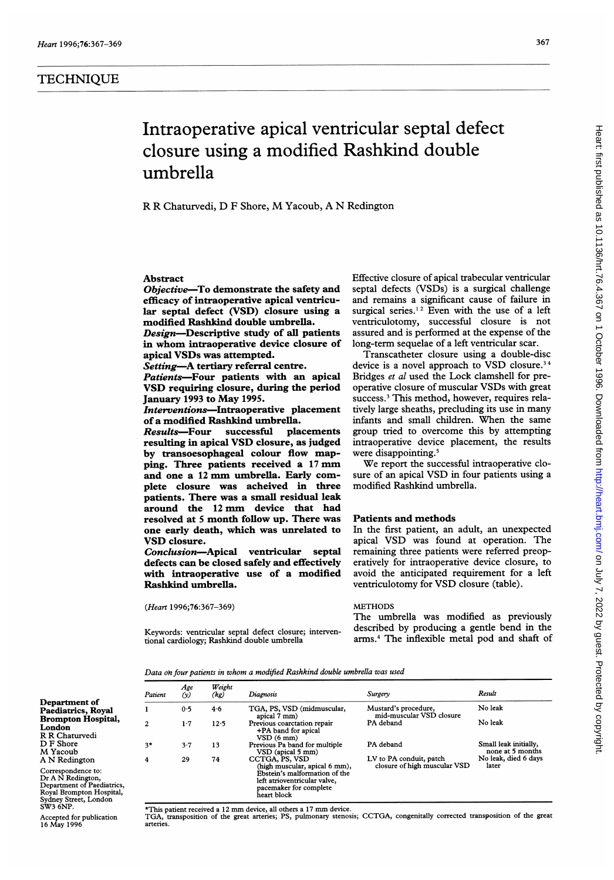# Intraoperative apical ventricular septal defect closure using a modified Rashkind double umbrella

R R Chaturvedi, D <sup>F</sup> Shore, M Yacoub, A N Redington

### Abstract

Objective-To demonstrate the safety and efficacy of intraoperative apical ventricular septal defect (VSD) closure using a modified Rashkind double umbrella.

Design-Descriptive study of all patients in whom intraoperative device closure of apical VSDs was attempted.

Setting-A tertiary referral centre.

Patients-Four patients with an apical VSD requiring closure, during the period January <sup>1993</sup> to May 1995.

Interventions-Intraoperative placement of a modified Rashkind umbrella.<br>Results—Four successful placements

Results-Four resulting in apical VSD closure, as judged by transoesophageal colour flow mapping. Three patients received <sup>a</sup> <sup>17</sup> mm and one <sup>a</sup> <sup>12</sup> mm umbrella. Early complete closure was acheived in three patients. There was a small residual leak around the <sup>12</sup> mm device that had resolved at <sup>5</sup> month follow up. There was one early death, which was unrelated to VSD closure.

Conclusion-Apical ventricular septal defects can be closed safely and effectively with intraoperative use of a modified Rashkind umbrella.

(Heart 1996;76:367-369)

Keywords: ventricular septal defect closure; interventional cardiology; Rashkind double umbrella

Effective closure of apical trabecular ventricular septal defects (VSDs) is a surgical challenge and remains a significant cause of failure in surgical series.<sup>12</sup> Even with the use of a left ventriculotomy, successful closure is not assured and is performed at the expense of the long-term sequelae of a left ventricular scar.

Transcatheter closure using a double-disc device is a novel approach to VSD closure.<sup>34</sup> Bridges et al used the Lock clamshell for preoperative closure of muscular VSDs with great success.' This method, however, requires relatively large sheaths, precluding its use in many infants and small children. When the same group tried to overcome this by attempting intraoperative device placement, the results were disappointing.<sup>5</sup>

We report the successful intraoperative closure of an apical VSD in four patients using <sup>a</sup> modified Rashkind umbrella.

## Patients and methods

In the first patient, an adult, an unexpected apical VSD was found at operation. The remaining three patients were referred preoperatively for intraoperative device closure, to avoid the anticipated requirement for a left ventriculotomy for VSD closure (table).

#### METHODS

The umbrella was modified as previously described by producing a gentle bend in the arms.4 The inflexible metal pod and shaft of

Data oh four patients in whom a modified Rashkind double umbrella was used

|                                                                                                                           | Patient | Age<br>(y) | Weight<br>(kg) | Diagnosis                                                                                                                               | Surgery                                          | Result                |
|---------------------------------------------------------------------------------------------------------------------------|---------|------------|----------------|-----------------------------------------------------------------------------------------------------------------------------------------|--------------------------------------------------|-----------------------|
| Department of                                                                                                             |         |            |                |                                                                                                                                         |                                                  | No leak               |
| Paediatrics, Royal                                                                                                        |         | 0.5        | 4.6            | TGA, PS, VSD (midmuscular,                                                                                                              | Mustard's procedure,<br>mid-muscular VSD closure |                       |
| <b>Brompton Hospital,</b>                                                                                                 |         |            |                | apical 7 mm)                                                                                                                            | PA deband                                        | No leak               |
| London                                                                                                                    | 2       | 1.7        | 12.5           | Previous coarctation repair                                                                                                             |                                                  |                       |
| R R Chaturvedi                                                                                                            |         |            |                | +PA band for apical<br>VSD(6 mm)                                                                                                        |                                                  |                       |
| D F Shore                                                                                                                 | $3*$    | 3.7        | 13             | Previous Pa band for multiple                                                                                                           | PA deband                                        | Small leak initially, |
| M Yacoub                                                                                                                  |         |            |                | VSD (apical 5 mm)                                                                                                                       |                                                  | none at 5 months      |
| A N Redington                                                                                                             | 4       | 29         | 74             | CCTGA, PS, VSD                                                                                                                          | LV to PA conduit, patch                          | No leak, died 6 days  |
| Correspondence to:<br>Dr A N Redington,<br>Department of Paediatrics,<br>Royal Brompton Hospital,<br>Sudney Street London |         |            |                | (high muscular, apical 6 mm),<br>Ebstein's malformation of the<br>left atrioventricular valve,<br>pacemaker for complete<br>heart block | closure of high muscular VSD                     | later                 |

\*'Ths patient received <sup>a</sup> <sup>12</sup> mm device, all others <sup>a</sup> <sup>17</sup> mm device. TGA, transposition of the great arteries; PS, pulmonary stenosis; CCTGA, congenitally corrected transposition of the great arteries.

Accepted for publication 16 May 1996

Street, London

Sydney Str<br>SW3 6NP.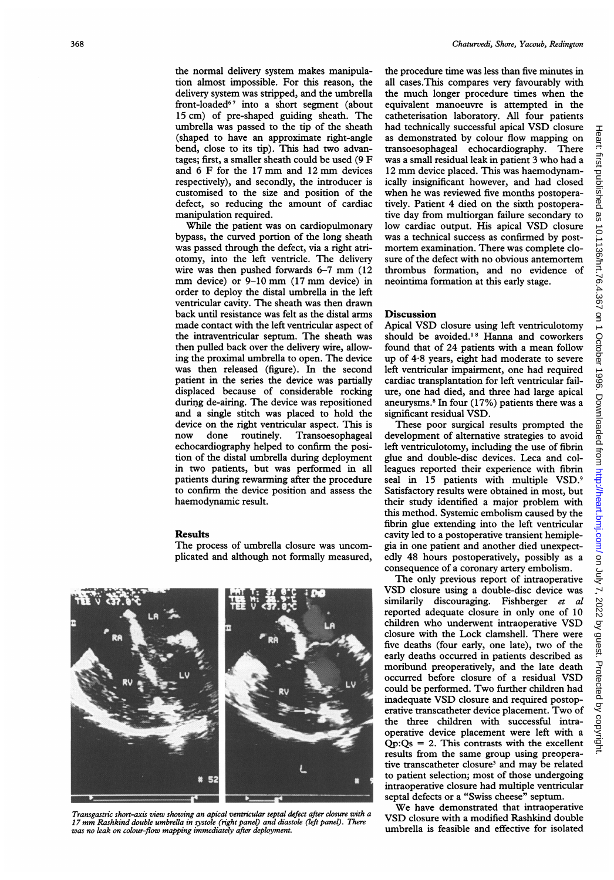delivery system was stripped, and the umbrella front-loaded<sup>67</sup> into a short segment (about 15 cm) of pre-shaped guiding sheath. The umbrella was passed to the tip of the sheath (shaped to have an approximate right-angle bend, close to its tip). This had two advantages; first, <sup>a</sup> smaller sheath could be used (9 F and <sup>6</sup> F for the <sup>17</sup> mm and <sup>12</sup> mm devices respectively), and secondly, the introducer is customised to the size and position of the defect, so reducing the amount of cardiac manipulation required.

While the patient was on cardiopulmonary bypass, the curved portion of the long sheath was passed through the defect, via a right atriotomy, into the left ventricle. The delivery wire was then pushed forwards 6-7 mm (12 mm device) or 9-10 mm (17 mm device) in order to deploy the distal umbrella in the left ventricular cavity. The sheath was then drawn back until resistance was felt as the distal arms made contact with the left ventricular aspect of the intraventricular septum. The sheath was then pulled back over the delivery wire, allowing the proximal umbrella to open. The device was then released (figure). In the second patient in the series the device was partially displaced because of considerable rocking during de-airing. The device was repositioned and a single stitch was placed to hold the device on the right ventricular aspect. This is now done routinely. Transoesophageal echocardiography helped to confirm the position of the distal umbrella during deployment in two patients, but was performed in all patients during rewarming after the procedure to confirm the device position and assess the haemodynamic result.

## Results

The process of umbrella closure was uncomplicated and although not formally measured,



Transgastric short-axis view showing an apical ventricular septal defect after closure with a <sup>17</sup> mm Rashkind double umbrella in systole (right panel) and diastole (left panel). There was no leak on colour-flow mapping immediately after deployment.

the procedure time was less than five minutes in all cases.This compares very favourably with the much longer procedure times when the equivalent manoeuvre is attempted in the catheterisation laboratory. All four patients had technically successful apical VSD closure as demonstrated by colour flow mapping on transoesophageal echocardiography. There was a small residual leak in patient 3 who had a <sup>12</sup> mm device placed. This was haemodynamically insignificant however, and had closed when he was reviewed five months postoperatively. Patient 4 died on the sixth postoperative day from multiorgan failure secondary to low cardiac output. His apical VSD closure was a technical success as confirmed by postmortem examination. There was complete closure of the defect with no obvious antemortem thrombus formation, and no evidence of neointima formation at this early stage.

#### Discussion

Apical VSD closure using left ventriculotomy should be avoided.'8 Hanna and coworkers found that of 24 patients with a mean follow up of 4-8 years, eight had moderate to severe left ventricular impairment, one had required cardiac transplantation for left ventricular failure, one had died, and three had large apical aneurysms.8 In four (17%) patients there was a significant residual VSD.

These poor surgical results prompted the development of alternative strategies to avoid left ventriculotomy, including the use of fibrin glue and double-disc devices. Leca and colleagues reported their experience with fibrin seal in 15 patients with multiple VSD.<sup>9</sup> Satisfactory results were obtained in most, but their study identified a major problem with this method. Systemic embolism caused by the fibrin glue extending into the left ventricular cavity led to a postoperative transient hemiplegia in one patient and another died unexpectedly 48 hours postoperatively, possibly as a consequence of a coronary artery embolism.

The only previous report of intraoperative VSD closure using <sup>a</sup> double-disc device was similarily discouraging. Fishberger et al reported adequate closure in only one of 10 children who underwent intraoperative VSD closure with the Lock clamshell. There were five deaths (four early, one late), two of the early deaths occurred in patients described as moribund preoperatively, and the late death occurred before closure of <sup>a</sup> residual VSD could be performed. Two further children had inadequate VSD closure and required postoperative transcatheter device placement. Two of the three children with successful intraoperative device placement were left with a  $Qp:Qs = 2$ . This contrasts with the excellent results from the same group using preoperative transcatheter closure<sup>3</sup> and may be related to patient selection; most of those undergoing intraoperative closure had multiple ventricular septal defects or a "Swiss cheese" septum.

We have demonstrated that intraoperative VSD closure with <sup>a</sup> modified Rashkind double umbrella is feasible and effective for isolated